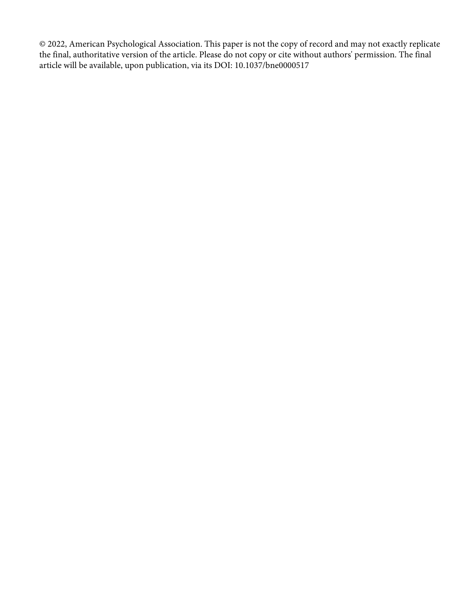© 2022, American Psychological Association. This paper is not the copy of record and may not exactly replicate the final, authoritative version of the article. Please do not copy or cite without authors' permission. The final article will be available, upon publication, via its DOI: 10.1037/bne0000517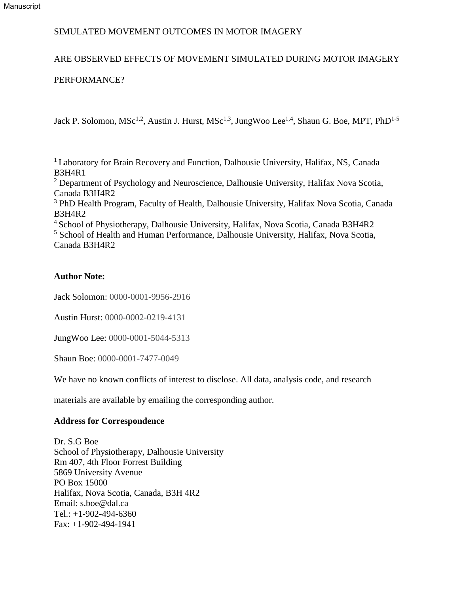# ARE OBSERVED EFFECTS OF MOVEMENT SIMULATED DURING MOTOR IMAGERY

# PERFORMANCE?

Jack P. Solomon, MSc<sup>1,2</sup>, Austin J. Hurst, MSc<sup>1,3</sup>, JungWoo Lee<sup>1,4</sup>, Shaun G. Boe, MPT, PhD<sup>1-5</sup>

<sup>1</sup> Laboratory for Brain Recovery and Function, Dalhousie University, Halifax, NS, Canada B3H4R1

<sup>2</sup> Department of Psychology and Neuroscience, Dalhousie University, Halifax Nova Scotia, Canada B3H4R2

<sup>3</sup> PhD Health Program, Faculty of Health, Dalhousie University, Halifax Nova Scotia, Canada B3H4R2

<sup>4</sup> School of Physiotherapy, Dalhousie University, Halifax, Nova Scotia, Canada B3H4R2 <sup>5</sup> School of Health and Human Performance, Dalhousie University, Halifax, Nova Scotia, Canada B3H4R2

# **Author Note:**

Jack Solomon: 0000-0001-9956-2916

Austin Hurst: 0000-0002-0219-4131

JungWoo Lee: 0000-0001-5044-5313

Shaun Boe: 0000-0001-7477-0049

We have no known conflicts of interest to disclose. All data, analysis code, and research

materials are available by emailing the corresponding author.

# **Address for Correspondence**

Dr. S.G Boe School of Physiotherapy, Dalhousie University Rm 407, 4th Floor Forrest Building 5869 University Avenue PO Box 15000 Halifax, Nova Scotia, Canada, B3H 4R2 Email: s.boe@dal.ca Tel.: +1-902-494-6360 Fax: +1-902-494-1941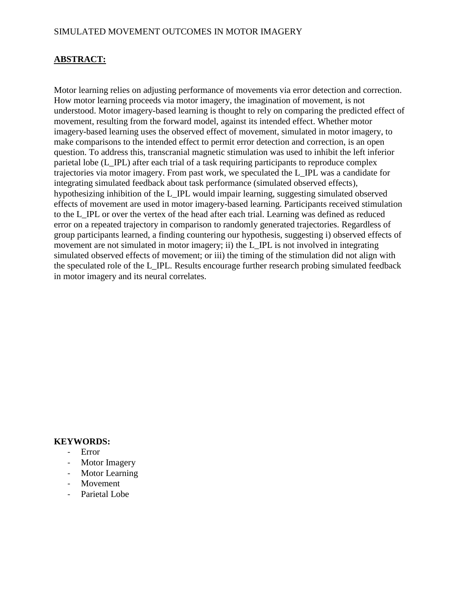# **ABSTRACT:**

Motor learning relies on adjusting performance of movements via error detection and correction. How motor learning proceeds via motor imagery, the imagination of movement, is not understood. Motor imagery-based learning is thought to rely on comparing the predicted effect of movement, resulting from the forward model, against its intended effect. Whether motor imagery-based learning uses the observed effect of movement, simulated in motor imagery, to make comparisons to the intended effect to permit error detection and correction, is an open question. To address this, transcranial magnetic stimulation was used to inhibit the left inferior parietal lobe (L\_IPL) after each trial of a task requiring participants to reproduce complex trajectories via motor imagery. From past work, we speculated the L\_IPL was a candidate for integrating simulated feedback about task performance (simulated observed effects), hypothesizing inhibition of the L\_IPL would impair learning, suggesting simulated observed effects of movement are used in motor imagery-based learning. Participants received stimulation to the L\_IPL or over the vertex of the head after each trial. Learning was defined as reduced error on a repeated trajectory in comparison to randomly generated trajectories. Regardless of group participants learned, a finding countering our hypothesis, suggesting i) observed effects of movement are not simulated in motor imagery; ii) the L IPL is not involved in integrating simulated observed effects of movement; or iii) the timing of the stimulation did not align with the speculated role of the L\_IPL. Results encourage further research probing simulated feedback in motor imagery and its neural correlates.

### **KEYWORDS:**

- Error
- Motor Imagery
- Motor Learning
- Movement
- Parietal Lobe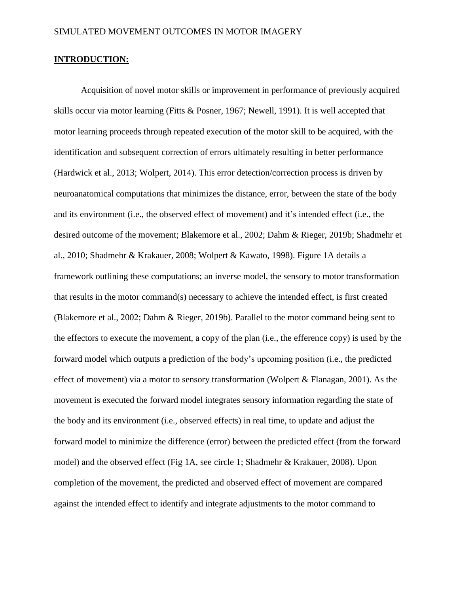### **INTRODUCTION:**

Acquisition of novel motor skills or improvement in performance of previously acquired skills occur via motor learning (Fitts & Posner, 1967; Newell, 1991). It is well accepted that motor learning proceeds through repeated execution of the motor skill to be acquired, with the identification and subsequent correction of errors ultimately resulting in better performance (Hardwick et al., 2013; Wolpert, 2014). This error detection/correction process is driven by neuroanatomical computations that minimizes the distance, error, between the state of the body and its environment (i.e., the observed effect of movement) and it's intended effect (i.e., the desired outcome of the movement; Blakemore et al., 2002; Dahm & Rieger, 2019b; Shadmehr et al., 2010; Shadmehr & Krakauer, 2008; Wolpert & Kawato, 1998). Figure 1A details a framework outlining these computations; an inverse model, the sensory to motor transformation that results in the motor command(s) necessary to achieve the intended effect, is first created (Blakemore et al., 2002; Dahm & Rieger, 2019b). Parallel to the motor command being sent to the effectors to execute the movement, a copy of the plan (i.e., the efference copy) is used by the forward model which outputs a prediction of the body's upcoming position (i.e., the predicted effect of movement) via a motor to sensory transformation (Wolpert & Flanagan, 2001). As the movement is executed the forward model integrates sensory information regarding the state of the body and its environment (i.e., observed effects) in real time, to update and adjust the forward model to minimize the difference (error) between the predicted effect (from the forward model) and the observed effect (Fig 1A, see circle 1; Shadmehr & Krakauer, 2008). Upon completion of the movement, the predicted and observed effect of movement are compared against the intended effect to identify and integrate adjustments to the motor command to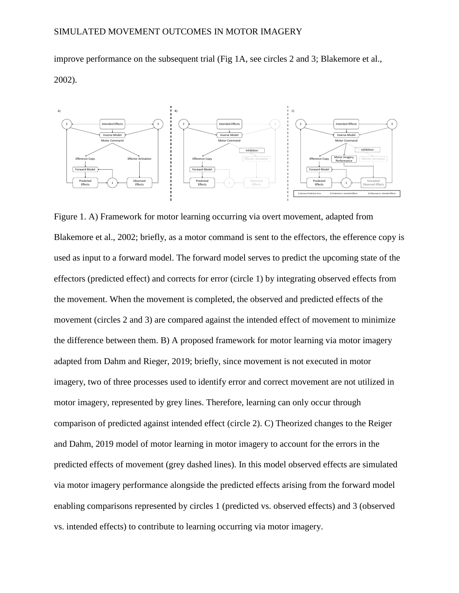improve performance on the subsequent trial (Fig 1A, see circles 2 and 3; Blakemore et al., 2002).



Figure 1. A) Framework for motor learning occurring via overt movement, adapted from Blakemore et al., 2002; briefly, as a motor command is sent to the effectors, the efference copy is used as input to a forward model. The forward model serves to predict the upcoming state of the effectors (predicted effect) and corrects for error (circle 1) by integrating observed effects from the movement. When the movement is completed, the observed and predicted effects of the movement (circles 2 and 3) are compared against the intended effect of movement to minimize the difference between them. B) A proposed framework for motor learning via motor imagery adapted from Dahm and Rieger, 2019; briefly, since movement is not executed in motor imagery, two of three processes used to identify error and correct movement are not utilized in motor imagery, represented by grey lines. Therefore, learning can only occur through comparison of predicted against intended effect (circle 2). C) Theorized changes to the Reiger and Dahm, 2019 model of motor learning in motor imagery to account for the errors in the predicted effects of movement (grey dashed lines). In this model observed effects are simulated via motor imagery performance alongside the predicted effects arising from the forward model enabling comparisons represented by circles 1 (predicted vs. observed effects) and 3 (observed vs. intended effects) to contribute to learning occurring via motor imagery.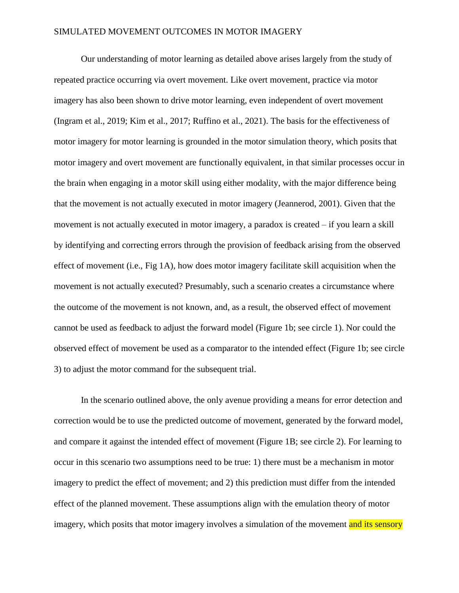Our understanding of motor learning as detailed above arises largely from the study of repeated practice occurring via overt movement. Like overt movement, practice via motor imagery has also been shown to drive motor learning, even independent of overt movement (Ingram et al., 2019; Kim et al., 2017; Ruffino et al., 2021). The basis for the effectiveness of motor imagery for motor learning is grounded in the motor simulation theory, which posits that motor imagery and overt movement are functionally equivalent, in that similar processes occur in the brain when engaging in a motor skill using either modality, with the major difference being that the movement is not actually executed in motor imagery (Jeannerod, 2001). Given that the movement is not actually executed in motor imagery, a paradox is created – if you learn a skill by identifying and correcting errors through the provision of feedback arising from the observed effect of movement (i.e., Fig 1A), how does motor imagery facilitate skill acquisition when the movement is not actually executed? Presumably, such a scenario creates a circumstance where the outcome of the movement is not known, and, as a result, the observed effect of movement cannot be used as feedback to adjust the forward model (Figure 1b; see circle 1). Nor could the observed effect of movement be used as a comparator to the intended effect (Figure 1b; see circle 3) to adjust the motor command for the subsequent trial.

In the scenario outlined above, the only avenue providing a means for error detection and correction would be to use the predicted outcome of movement, generated by the forward model, and compare it against the intended effect of movement (Figure 1B; see circle 2). For learning to occur in this scenario two assumptions need to be true: 1) there must be a mechanism in motor imagery to predict the effect of movement; and 2) this prediction must differ from the intended effect of the planned movement. These assumptions align with the emulation theory of motor imagery, which posits that motor imagery involves a simulation of the movement and its sensory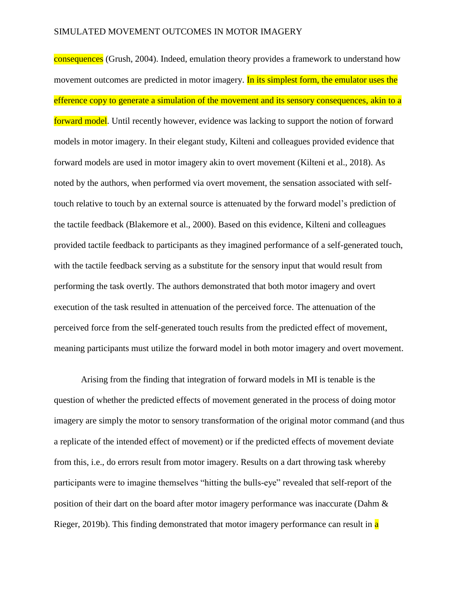consequences (Grush, 2004). Indeed, emulation theory provides a framework to understand how movement outcomes are predicted in motor imagery. In its simplest form, the emulator uses the efference copy to generate a simulation of the movement and its sensory consequences, akin to a forward model. Until recently however, evidence was lacking to support the notion of forward models in motor imagery. In their elegant study, Kilteni and colleagues provided evidence that forward models are used in motor imagery akin to overt movement (Kilteni et al., 2018). As noted by the authors, when performed via overt movement, the sensation associated with selftouch relative to touch by an external source is attenuated by the forward model's prediction of the tactile feedback (Blakemore et al., 2000). Based on this evidence, Kilteni and colleagues provided tactile feedback to participants as they imagined performance of a self-generated touch, with the tactile feedback serving as a substitute for the sensory input that would result from performing the task overtly. The authors demonstrated that both motor imagery and overt execution of the task resulted in attenuation of the perceived force. The attenuation of the perceived force from the self-generated touch results from the predicted effect of movement, meaning participants must utilize the forward model in both motor imagery and overt movement.

Arising from the finding that integration of forward models in MI is tenable is the question of whether the predicted effects of movement generated in the process of doing motor imagery are simply the motor to sensory transformation of the original motor command (and thus a replicate of the intended effect of movement) or if the predicted effects of movement deviate from this, i.e., do errors result from motor imagery. Results on a dart throwing task whereby participants were to imagine themselves "hitting the bulls-eye" revealed that self-report of the position of their dart on the board after motor imagery performance was inaccurate (Dahm & Rieger, 2019b). This finding demonstrated that motor imagery performance can result in a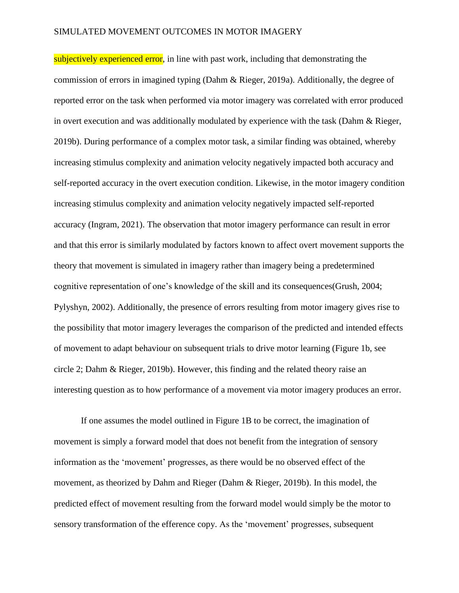subjectively experienced error, in line with past work, including that demonstrating the commission of errors in imagined typing (Dahm & Rieger, 2019a). Additionally, the degree of reported error on the task when performed via motor imagery was correlated with error produced in overt execution and was additionally modulated by experience with the task (Dahm & Rieger, 2019b). During performance of a complex motor task, a similar finding was obtained, whereby increasing stimulus complexity and animation velocity negatively impacted both accuracy and self-reported accuracy in the overt execution condition. Likewise, in the motor imagery condition increasing stimulus complexity and animation velocity negatively impacted self-reported accuracy (Ingram, 2021). The observation that motor imagery performance can result in error and that this error is similarly modulated by factors known to affect overt movement supports the theory that movement is simulated in imagery rather than imagery being a predetermined cognitive representation of one's knowledge of the skill and its consequences(Grush, 2004; Pylyshyn, 2002). Additionally, the presence of errors resulting from motor imagery gives rise to the possibility that motor imagery leverages the comparison of the predicted and intended effects of movement to adapt behaviour on subsequent trials to drive motor learning (Figure 1b, see circle 2; Dahm & Rieger, 2019b). However, this finding and the related theory raise an interesting question as to how performance of a movement via motor imagery produces an error.

If one assumes the model outlined in Figure 1B to be correct, the imagination of movement is simply a forward model that does not benefit from the integration of sensory information as the 'movement' progresses, as there would be no observed effect of the movement, as theorized by Dahm and Rieger (Dahm & Rieger, 2019b). In this model, the predicted effect of movement resulting from the forward model would simply be the motor to sensory transformation of the efference copy. As the 'movement' progresses, subsequent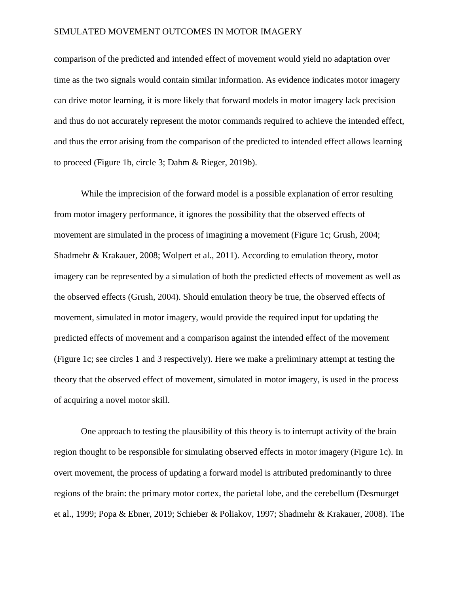comparison of the predicted and intended effect of movement would yield no adaptation over time as the two signals would contain similar information. As evidence indicates motor imagery can drive motor learning, it is more likely that forward models in motor imagery lack precision and thus do not accurately represent the motor commands required to achieve the intended effect, and thus the error arising from the comparison of the predicted to intended effect allows learning to proceed (Figure 1b, circle 3; Dahm & Rieger, 2019b).

While the imprecision of the forward model is a possible explanation of error resulting from motor imagery performance, it ignores the possibility that the observed effects of movement are simulated in the process of imagining a movement (Figure 1c; Grush, 2004; Shadmehr & Krakauer, 2008; Wolpert et al., 2011). According to emulation theory, motor imagery can be represented by a simulation of both the predicted effects of movement as well as the observed effects (Grush, 2004). Should emulation theory be true, the observed effects of movement, simulated in motor imagery, would provide the required input for updating the predicted effects of movement and a comparison against the intended effect of the movement (Figure 1c; see circles 1 and 3 respectively). Here we make a preliminary attempt at testing the theory that the observed effect of movement, simulated in motor imagery, is used in the process of acquiring a novel motor skill.

One approach to testing the plausibility of this theory is to interrupt activity of the brain region thought to be responsible for simulating observed effects in motor imagery (Figure 1c). In overt movement, the process of updating a forward model is attributed predominantly to three regions of the brain: the primary motor cortex, the parietal lobe, and the cerebellum (Desmurget et al., 1999; Popa & Ebner, 2019; Schieber & Poliakov, 1997; Shadmehr & Krakauer, 2008). The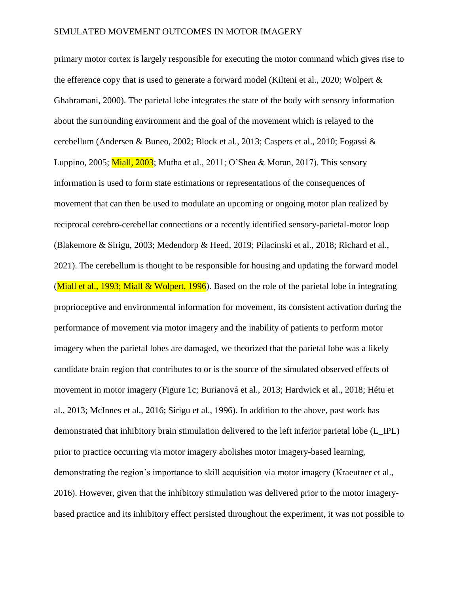primary motor cortex is largely responsible for executing the motor command which gives rise to the efference copy that is used to generate a forward model (Kilteni et al., 2020; Wolpert & Ghahramani, 2000). The parietal lobe integrates the state of the body with sensory information about the surrounding environment and the goal of the movement which is relayed to the cerebellum (Andersen & Buneo, 2002; Block et al., 2013; Caspers et al., 2010; Fogassi & Luppino, 2005; Miall, 2003; Mutha et al., 2011; O'Shea & Moran, 2017). This sensory information is used to form state estimations or representations of the consequences of movement that can then be used to modulate an upcoming or ongoing motor plan realized by reciprocal cerebro-cerebellar connections or a recently identified sensory-parietal-motor loop (Blakemore & Sirigu, 2003; Medendorp & Heed, 2019; Pilacinski et al., 2018; Richard et al., 2021). The cerebellum is thought to be responsible for housing and updating the forward model (Miall et al., 1993; Miall  $& W\text{olpert}, 1996$ ). Based on the role of the parietal lobe in integrating proprioceptive and environmental information for movement, its consistent activation during the performance of movement via motor imagery and the inability of patients to perform motor imagery when the parietal lobes are damaged, we theorized that the parietal lobe was a likely candidate brain region that contributes to or is the source of the simulated observed effects of movement in motor imagery (Figure 1c; Burianová et al., 2013; Hardwick et al., 2018; Hétu et al., 2013; McInnes et al., 2016; Sirigu et al., 1996). In addition to the above, past work has demonstrated that inhibitory brain stimulation delivered to the left inferior parietal lobe (L\_IPL) prior to practice occurring via motor imagery abolishes motor imagery-based learning, demonstrating the region's importance to skill acquisition via motor imagery (Kraeutner et al., 2016). However, given that the inhibitory stimulation was delivered prior to the motor imagerybased practice and its inhibitory effect persisted throughout the experiment, it was not possible to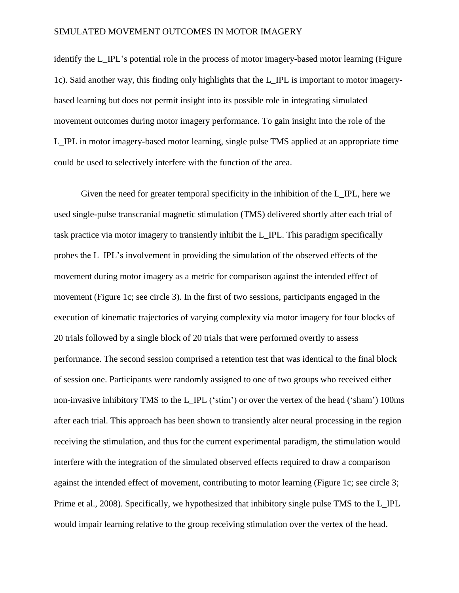identify the L\_IPL's potential role in the process of motor imagery-based motor learning (Figure 1c). Said another way, this finding only highlights that the L\_IPL is important to motor imagerybased learning but does not permit insight into its possible role in integrating simulated movement outcomes during motor imagery performance. To gain insight into the role of the L\_IPL in motor imagery-based motor learning, single pulse TMS applied at an appropriate time could be used to selectively interfere with the function of the area.

Given the need for greater temporal specificity in the inhibition of the L\_IPL, here we used single-pulse transcranial magnetic stimulation (TMS) delivered shortly after each trial of task practice via motor imagery to transiently inhibit the L\_IPL. This paradigm specifically probes the L\_IPL's involvement in providing the simulation of the observed effects of the movement during motor imagery as a metric for comparison against the intended effect of movement (Figure 1c; see circle 3). In the first of two sessions, participants engaged in the execution of kinematic trajectories of varying complexity via motor imagery for four blocks of 20 trials followed by a single block of 20 trials that were performed overtly to assess performance. The second session comprised a retention test that was identical to the final block of session one. Participants were randomly assigned to one of two groups who received either non-invasive inhibitory TMS to the L\_IPL ('stim') or over the vertex of the head ('sham') 100ms after each trial. This approach has been shown to transiently alter neural processing in the region receiving the stimulation, and thus for the current experimental paradigm, the stimulation would interfere with the integration of the simulated observed effects required to draw a comparison against the intended effect of movement, contributing to motor learning (Figure 1c; see circle 3; Prime et al., 2008). Specifically, we hypothesized that inhibitory single pulse TMS to the L\_IPL would impair learning relative to the group receiving stimulation over the vertex of the head.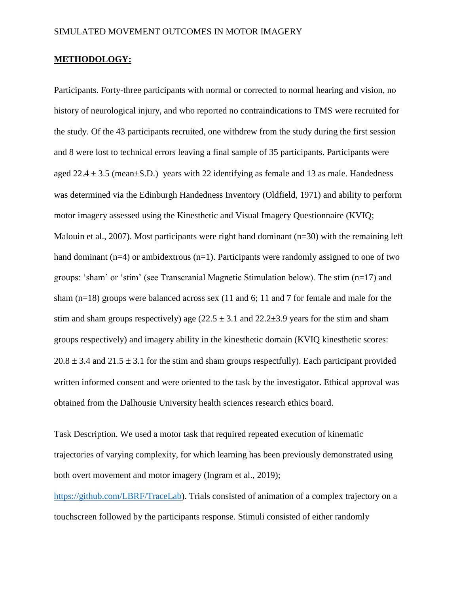#### **METHODOLOGY:**

Participants. Forty-three participants with normal or corrected to normal hearing and vision, no history of neurological injury, and who reported no contraindications to TMS were recruited for the study. Of the 43 participants recruited, one withdrew from the study during the first session and 8 were lost to technical errors leaving a final sample of 35 participants. Participants were aged  $22.4 \pm 3.5$  (mean $\pm$ S.D.) years with 22 identifying as female and 13 as male. Handedness was determined via the Edinburgh Handedness Inventory (Oldfield, 1971) and ability to perform motor imagery assessed using the Kinesthetic and Visual Imagery Questionnaire (KVIQ; Malouin et al., 2007). Most participants were right hand dominant (n=30) with the remaining left hand dominant  $(n=4)$  or ambidextrous  $(n=1)$ . Participants were randomly assigned to one of two groups: 'sham' or 'stim' (see Transcranial Magnetic Stimulation below). The stim (n=17) and sham  $(n=18)$  groups were balanced across sex (11 and 6; 11 and 7 for female and male for the stim and sham groups respectively) age  $(22.5 \pm 3.1$  and  $22.2 \pm 3.9$  years for the stim and sham groups respectively) and imagery ability in the kinesthetic domain (KVIQ kinesthetic scores:  $20.8 \pm 3.4$  and  $21.5 \pm 3.1$  for the stim and sham groups respectfully). Each participant provided written informed consent and were oriented to the task by the investigator. Ethical approval was obtained from the Dalhousie University health sciences research ethics board.

Task Description. We used a motor task that required repeated execution of kinematic trajectories of varying complexity, for which learning has been previously demonstrated using both overt movement and motor imagery (Ingram et al., 2019);

[https://github.com/LBRF/TraceLab\)](https://github.com/LBRF/TraceLab). Trials consisted of animation of a complex trajectory on a touchscreen followed by the participants response. Stimuli consisted of either randomly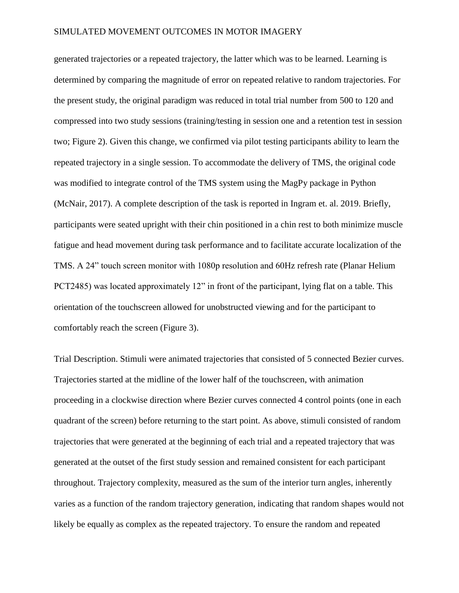generated trajectories or a repeated trajectory, the latter which was to be learned. Learning is determined by comparing the magnitude of error on repeated relative to random trajectories. For the present study, the original paradigm was reduced in total trial number from 500 to 120 and compressed into two study sessions (training/testing in session one and a retention test in session two; Figure 2). Given this change, we confirmed via pilot testing participants ability to learn the repeated trajectory in a single session. To accommodate the delivery of TMS, the original code was modified to integrate control of the TMS system using the MagPy package in Python (McNair, 2017). A complete description of the task is reported in Ingram et. al. 2019. Briefly, participants were seated upright with their chin positioned in a chin rest to both minimize muscle fatigue and head movement during task performance and to facilitate accurate localization of the TMS. A 24" touch screen monitor with 1080p resolution and 60Hz refresh rate (Planar Helium PCT2485) was located approximately 12" in front of the participant, lying flat on a table. This orientation of the touchscreen allowed for unobstructed viewing and for the participant to comfortably reach the screen (Figure 3).

Trial Description. Stimuli were animated trajectories that consisted of 5 connected Bezier curves. Trajectories started at the midline of the lower half of the touchscreen, with animation proceeding in a clockwise direction where Bezier curves connected 4 control points (one in each quadrant of the screen) before returning to the start point. As above, stimuli consisted of random trajectories that were generated at the beginning of each trial and a repeated trajectory that was generated at the outset of the first study session and remained consistent for each participant throughout. Trajectory complexity, measured as the sum of the interior turn angles, inherently varies as a function of the random trajectory generation, indicating that random shapes would not likely be equally as complex as the repeated trajectory. To ensure the random and repeated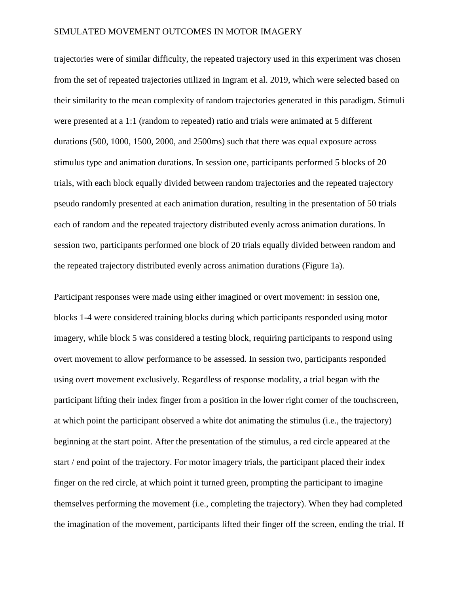trajectories were of similar difficulty, the repeated trajectory used in this experiment was chosen from the set of repeated trajectories utilized in Ingram et al. 2019, which were selected based on their similarity to the mean complexity of random trajectories generated in this paradigm. Stimuli were presented at a 1:1 (random to repeated) ratio and trials were animated at 5 different durations (500, 1000, 1500, 2000, and 2500ms) such that there was equal exposure across stimulus type and animation durations. In session one, participants performed 5 blocks of 20 trials, with each block equally divided between random trajectories and the repeated trajectory pseudo randomly presented at each animation duration, resulting in the presentation of 50 trials each of random and the repeated trajectory distributed evenly across animation durations. In session two, participants performed one block of 20 trials equally divided between random and the repeated trajectory distributed evenly across animation durations (Figure 1a).

Participant responses were made using either imagined or overt movement: in session one, blocks 1-4 were considered training blocks during which participants responded using motor imagery, while block 5 was considered a testing block, requiring participants to respond using overt movement to allow performance to be assessed. In session two, participants responded using overt movement exclusively. Regardless of response modality, a trial began with the participant lifting their index finger from a position in the lower right corner of the touchscreen, at which point the participant observed a white dot animating the stimulus (i.e., the trajectory) beginning at the start point. After the presentation of the stimulus, a red circle appeared at the start / end point of the trajectory. For motor imagery trials, the participant placed their index finger on the red circle, at which point it turned green, prompting the participant to imagine themselves performing the movement (i.e., completing the trajectory). When they had completed the imagination of the movement, participants lifted their finger off the screen, ending the trial. If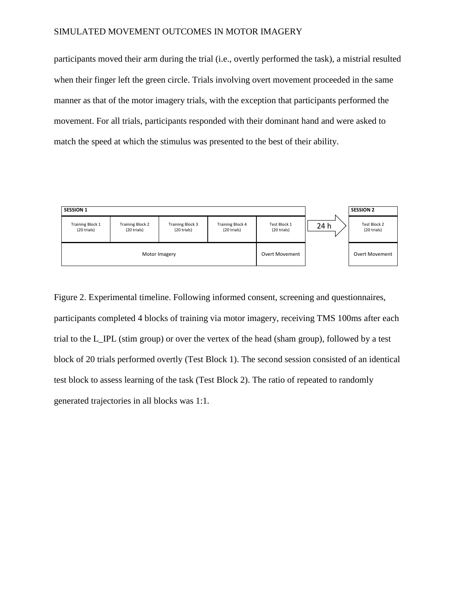participants moved their arm during the trial (i.e., overtly performed the task), a mistrial resulted when their finger left the green circle. Trials involving overt movement proceeded in the same manner as that of the motor imagery trials, with the exception that participants performed the movement. For all trials, participants responded with their dominant hand and were asked to match the speed at which the stimulus was presented to the best of their ability.



Figure 2. Experimental timeline. Following informed consent, screening and questionnaires, participants completed 4 blocks of training via motor imagery, receiving TMS 100ms after each trial to the L\_IPL (stim group) or over the vertex of the head (sham group), followed by a test block of 20 trials performed overtly (Test Block 1). The second session consisted of an identical test block to assess learning of the task (Test Block 2). The ratio of repeated to randomly generated trajectories in all blocks was 1:1*.*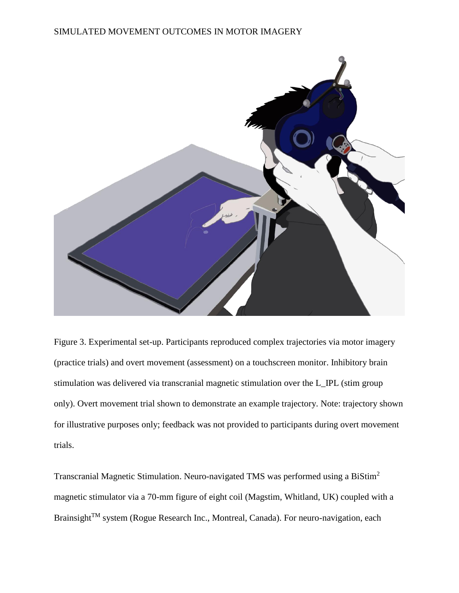

Figure 3. Experimental set-up. Participants reproduced complex trajectories via motor imagery (practice trials) and overt movement (assessment) on a touchscreen monitor. Inhibitory brain stimulation was delivered via transcranial magnetic stimulation over the L\_IPL (stim group only). Overt movement trial shown to demonstrate an example trajectory. Note: trajectory shown for illustrative purposes only; feedback was not provided to participants during overt movement trials.

Transcranial Magnetic Stimulation. Neuro-navigated TMS was performed using a BiStim<sup>2</sup> magnetic stimulator via a 70-mm figure of eight coil (Magstim, Whitland, UK) coupled with a Brainsight<sup>™</sup> system (Rogue Research Inc., Montreal, Canada). For neuro-navigation, each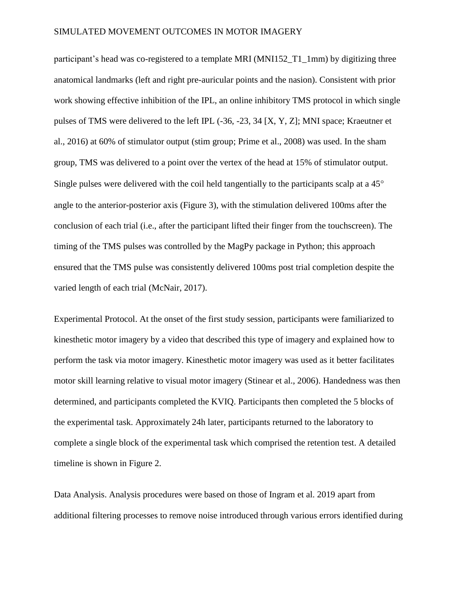participant's head was co-registered to a template MRI (MNI152\_T1\_1mm) by digitizing three anatomical landmarks (left and right pre-auricular points and the nasion). Consistent with prior work showing effective inhibition of the IPL, an online inhibitory TMS protocol in which single pulses of TMS were delivered to the left IPL (-36, -23, 34 [X, Y, Z]; MNI space; Kraeutner et al., 2016) at 60% of stimulator output (stim group; Prime et al., 2008) was used. In the sham group, TMS was delivered to a point over the vertex of the head at 15% of stimulator output. Single pulses were delivered with the coil held tangentially to the participants scalp at a 45<sup>°</sup> angle to the anterior-posterior axis (Figure 3), with the stimulation delivered 100ms after the conclusion of each trial (i.e., after the participant lifted their finger from the touchscreen). The timing of the TMS pulses was controlled by the MagPy package in Python; this approach ensured that the TMS pulse was consistently delivered 100ms post trial completion despite the varied length of each trial (McNair, 2017).

Experimental Protocol. At the onset of the first study session, participants were familiarized to kinesthetic motor imagery by a video that described this type of imagery and explained how to perform the task via motor imagery. Kinesthetic motor imagery was used as it better facilitates motor skill learning relative to visual motor imagery (Stinear et al., 2006). Handedness was then determined, and participants completed the KVIQ. Participants then completed the 5 blocks of the experimental task. Approximately 24h later, participants returned to the laboratory to complete a single block of the experimental task which comprised the retention test. A detailed timeline is shown in Figure 2.

Data Analysis. Analysis procedures were based on those of Ingram et al. 2019 apart from additional filtering processes to remove noise introduced through various errors identified during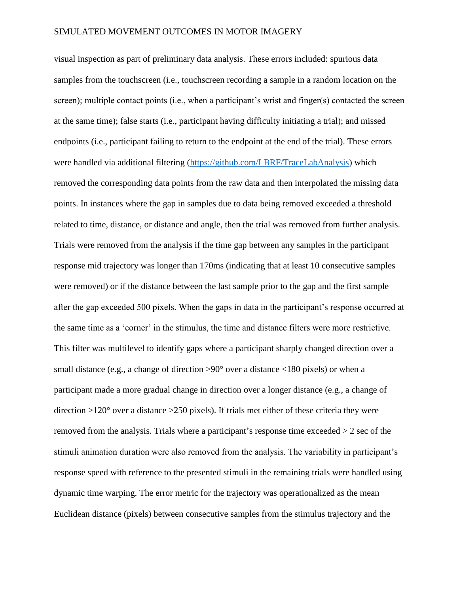visual inspection as part of preliminary data analysis. These errors included: spurious data samples from the touchscreen (i.e., touchscreen recording a sample in a random location on the screen); multiple contact points (i.e., when a participant's wrist and finger(s) contacted the screen at the same time); false starts (i.e., participant having difficulty initiating a trial); and missed endpoints (i.e., participant failing to return to the endpoint at the end of the trial). These errors were handled via additional filtering [\(https://github.com/LBRF/TraceLabAnalysis\)](https://github.com/LBRF/TraceLabAnalysis) which removed the corresponding data points from the raw data and then interpolated the missing data points. In instances where the gap in samples due to data being removed exceeded a threshold related to time, distance, or distance and angle, then the trial was removed from further analysis. Trials were removed from the analysis if the time gap between any samples in the participant response mid trajectory was longer than 170ms (indicating that at least 10 consecutive samples were removed) or if the distance between the last sample prior to the gap and the first sample after the gap exceeded 500 pixels. When the gaps in data in the participant's response occurred at the same time as a 'corner' in the stimulus, the time and distance filters were more restrictive. This filter was multilevel to identify gaps where a participant sharply changed direction over a small distance (e.g., a change of direction  $>90^{\circ}$  over a distance <180 pixels) or when a participant made a more gradual change in direction over a longer distance (e.g., a change of direction >120° over a distance >250 pixels). If trials met either of these criteria they were removed from the analysis. Trials where a participant's response time exceeded > 2 sec of the stimuli animation duration were also removed from the analysis. The variability in participant's response speed with reference to the presented stimuli in the remaining trials were handled using dynamic time warping. The error metric for the trajectory was operationalized as the mean Euclidean distance (pixels) between consecutive samples from the stimulus trajectory and the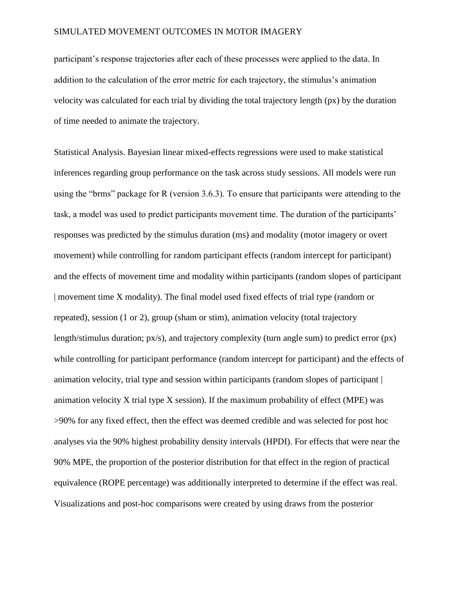participant's response trajectories after each of these processes were applied to the data. In addition to the calculation of the error metric for each trajectory, the stimulus's animation velocity was calculated for each trial by dividing the total trajectory length (px) by the duration of time needed to animate the trajectory.

Statistical Analysis. Bayesian linear mixed-effects regressions were used to make statistical inferences regarding group performance on the task across study sessions. All models were run using the "brms" package for R (version 3.6.3). To ensure that participants were attending to the task, a model was used to predict participants movement time. The duration of the participants' responses was predicted by the stimulus duration (ms) and modality (motor imagery or overt movement) while controlling for random participant effects (random intercept for participant) and the effects of movement time and modality within participants (random slopes of participant | movement time X modality). The final model used fixed effects of trial type (random or repeated), session (1 or 2), group (sham or stim), animation velocity (total trajectory length/stimulus duration; px/s), and trajectory complexity (turn angle sum) to predict error (px) while controlling for participant performance (random intercept for participant) and the effects of animation velocity, trial type and session within participants (random slopes of participant | animation velocity X trial type X session). If the maximum probability of effect (MPE) was >90% for any fixed effect, then the effect was deemed credible and was selected for post hoc analyses via the 90% highest probability density intervals (HPDI). For effects that were near the 90% MPE, the proportion of the posterior distribution for that effect in the region of practical equivalence (ROPE percentage) was additionally interpreted to determine if the effect was real. Visualizations and post-hoc comparisons were created by using draws from the posterior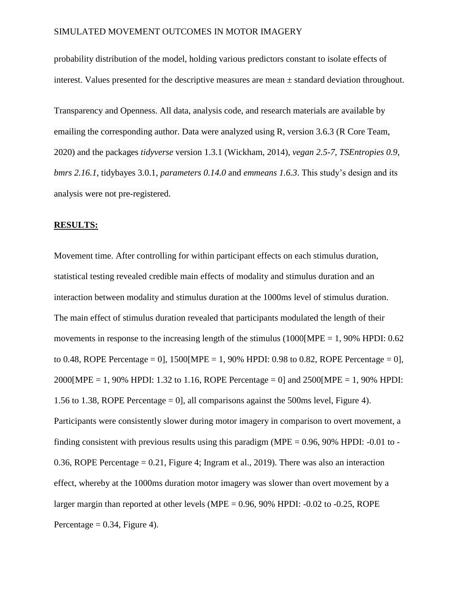probability distribution of the model, holding various predictors constant to isolate effects of interest. Values presented for the descriptive measures are mean ± standard deviation throughout.

Transparency and Openness. All data, analysis code, and research materials are available by emailing the corresponding author. Data were analyzed using R, version 3.6.3 (R Core Team, 2020) and the packages *tidyverse* version 1.3.1 (Wickham, 2014), *vegan 2.5-7*, *TSEntropies 0.9*, *bmrs 2.16.1*, tidybayes 3.0.1, *parameters 0.14.0* and *emmeans 1.6.3*. This study's design and its analysis were not pre-registered.

#### **RESULTS:**

Movement time. After controlling for within participant effects on each stimulus duration, statistical testing revealed credible main effects of modality and stimulus duration and an interaction between modality and stimulus duration at the 1000ms level of stimulus duration. The main effect of stimulus duration revealed that participants modulated the length of their movements in response to the increasing length of the stimulus (1000 [MPE = 1, 90% HPDI:  $0.62$ ) to 0.48, ROPE Percentage = 0, 1500 [MPE = 1, 90% HPDI: 0.98 to 0.82, ROPE Percentage = 0,  $2000[MPE = 1, 90\% HPDI: 1.32$  to 1.16, ROPE Percentage = 0] and  $2500[MPE = 1, 90\% HPDI:$ 1.56 to 1.38, ROPE Percentage = 0], all comparisons against the 500ms level, Figure 4). Participants were consistently slower during motor imagery in comparison to overt movement, a finding consistent with previous results using this paradigm (MPE  $= 0.96$ , 90% HPDI: -0.01 to -0.36, ROPE Percentage  $= 0.21$ , Figure 4; Ingram et al., 2019). There was also an interaction effect, whereby at the 1000ms duration motor imagery was slower than overt movement by a larger margin than reported at other levels (MPE =  $0.96$ ,  $90\%$  HPDI:  $-0.02$  to  $-0.25$ , ROPE Percentage  $= 0.34$ , Figure 4).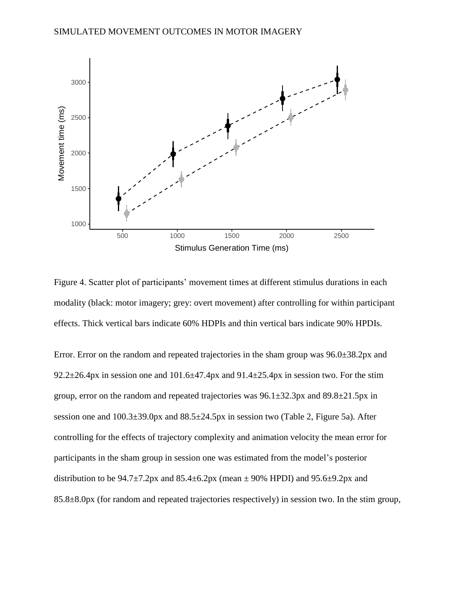

Figure 4. Scatter plot of participants' movement times at different stimulus durations in each modality (black: motor imagery; grey: overt movement) after controlling for within participant effects. Thick vertical bars indicate 60% HDPIs and thin vertical bars indicate 90% HPDIs.

Error. Error on the random and repeated trajectories in the sham group was 96.0±38.2px and 92.2 $\pm$ 26.4px in session one and 101.6 $\pm$ 47.4px and 91.4 $\pm$ 25.4px in session two. For the stim group, error on the random and repeated trajectories was  $96.1 \pm 32.3$  px and  $89.8 \pm 21.5$  px in session one and 100.3±39.0px and 88.5±24.5px in session two (Table 2, Figure 5a). After controlling for the effects of trajectory complexity and animation velocity the mean error for participants in the sham group in session one was estimated from the model's posterior distribution to be  $94.7\pm7.2$  px and  $85.4\pm6.2$  px (mean  $\pm$  90% HPDI) and  $95.6\pm9.2$  px and 85.8±8.0px (for random and repeated trajectories respectively) in session two. In the stim group,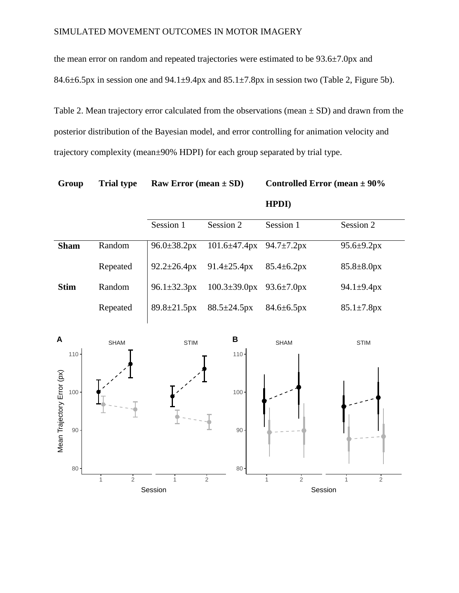the mean error on random and repeated trajectories were estimated to be 93.6±7.0px and 84.6 $\pm$ 6.5px in session one and 94.1 $\pm$ 9.4px and 85.1 $\pm$ 7.8px in session two (Table 2, Figure 5b).

Table 2. Mean trajectory error calculated from the observations (mean  $\pm$  SD) and drawn from the posterior distribution of the Bayesian model, and error controlling for animation velocity and trajectory complexity (mean±90% HDPI) for each group separated by trial type.

**Group Trial type Raw Error (mean**  $\pm$  **SD) Controlled Error (mean**  $\pm$  **90%) HPDI)**

|             |          | Session 1                 | Session 2                        | Session 1                | Session 2                |
|-------------|----------|---------------------------|----------------------------------|--------------------------|--------------------------|
|             |          |                           |                                  |                          |                          |
| <b>Sham</b> | Random   | $96.0 \pm 38.2 \text{px}$ | $101.6\pm47.4px$ 94.7 $\pm7.2px$ |                          | $95.6 \pm 9.2px$         |
|             | Repeated | $92.2 \pm 26.4$ px        | $91.4 \pm 25.4$ px               | $85.4 \pm 6.2px$         | $85.8 \pm 8.0 \text{px}$ |
| <b>Stim</b> | Random   | $96.1 \pm 32.3 \text{px}$ | $100.3 \pm 39.0 \text{px}$       | $93.6 \pm 7.0 \text{px}$ | $94.1 \pm 9.4 \text{px}$ |
|             | Repeated | $89.8 \pm 21.5$ px        | $88.5 \pm 24.5 \text{px}$        | $84.6 \pm 6.5 \text{px}$ | $85.1 \pm 7.8px$         |

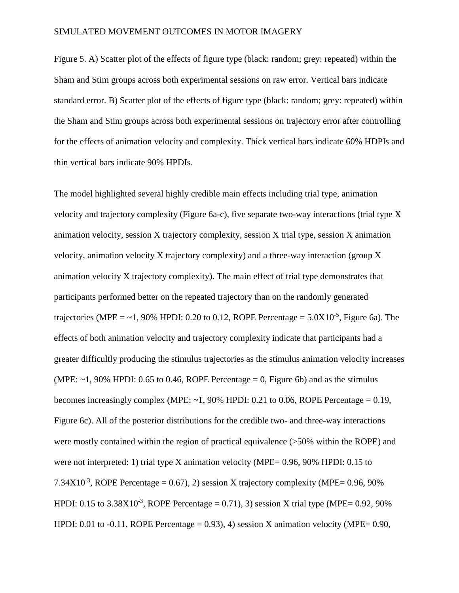Figure 5. A) Scatter plot of the effects of figure type (black: random; grey: repeated) within the Sham and Stim groups across both experimental sessions on raw error. Vertical bars indicate standard error. B) Scatter plot of the effects of figure type (black: random; grey: repeated) within the Sham and Stim groups across both experimental sessions on trajectory error after controlling for the effects of animation velocity and complexity. Thick vertical bars indicate 60% HDPIs and thin vertical bars indicate 90% HPDIs.

The model highlighted several highly credible main effects including trial type, animation velocity and trajectory complexity (Figure 6a-c), five separate two-way interactions (trial type X animation velocity, session X trajectory complexity, session X trial type, session X animation velocity, animation velocity X trajectory complexity) and a three-way interaction (group X animation velocity X trajectory complexity). The main effect of trial type demonstrates that participants performed better on the repeated trajectory than on the randomly generated trajectories (MPE =  $\sim$  1, 90% HPDI: 0.20 to 0.12, ROPE Percentage =  $5.0X10^{-5}$ , Figure 6a). The effects of both animation velocity and trajectory complexity indicate that participants had a greater difficultly producing the stimulus trajectories as the stimulus animation velocity increases (MPE:  $\sim$ 1, 90% HPDI: 0.65 to 0.46, ROPE Percentage = 0, Figure 6b) and as the stimulus becomes increasingly complex (MPE:  $\sim$  1, 90% HPDI: 0.21 to 0.06, ROPE Percentage = 0.19, Figure 6c). All of the posterior distributions for the credible two- and three-way interactions were mostly contained within the region of practical equivalence (>50% within the ROPE) and were not interpreted: 1) trial type X animation velocity (MPE= 0.96, 90% HPDI: 0.15 to 7.34 $X10^{-3}$ , ROPE Percentage = 0.67), 2) session X trajectory complexity (MPE= 0.96, 90% HPDI: 0.15 to  $3.38X10^{-3}$ , ROPE Percentage = 0.71), 3) session X trial type (MPE= 0.92, 90% HPDI: 0.01 to  $-0.11$ , ROPE Percentage = 0.93), 4) session X animation velocity (MPE= 0.90,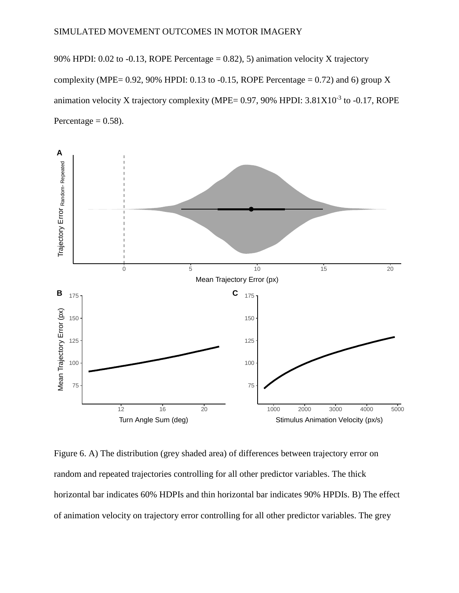90% HPDI: 0.02 to -0.13, ROPE Percentage = 0.82), 5) animation velocity X trajectory complexity (MPE=  $0.92$ ,  $90\%$  HPDI: 0.13 to  $-0.15$ , ROPE Percentage = 0.72) and 6) group X animation velocity X trajectory complexity (MPE=  $0.97$ ,  $90\%$  HPDI:  $3.81X10^{-3}$  to  $-0.17$ , ROPE Percentage  $= 0.58$ ).



Figure 6. A) The distribution (grey shaded area) of differences between trajectory error on random and repeated trajectories controlling for all other predictor variables. The thick horizontal bar indicates 60% HDPIs and thin horizontal bar indicates 90% HPDIs. B) The effect of animation velocity on trajectory error controlling for all other predictor variables. The grey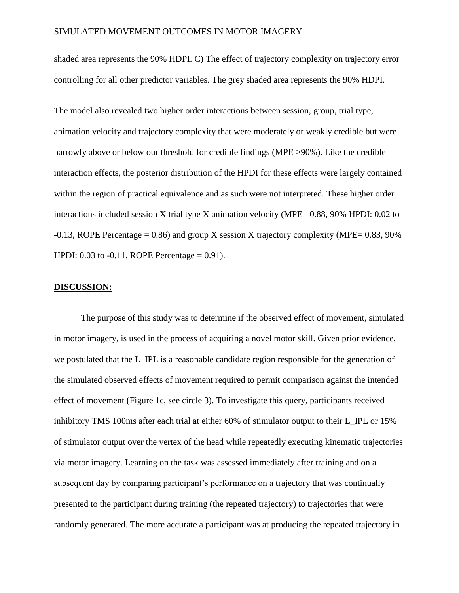shaded area represents the 90% HDPI. C) The effect of trajectory complexity on trajectory error controlling for all other predictor variables. The grey shaded area represents the 90% HDPI.

The model also revealed two higher order interactions between session, group, trial type, animation velocity and trajectory complexity that were moderately or weakly credible but were narrowly above or below our threshold for credible findings (MPE >90%). Like the credible interaction effects, the posterior distribution of the HPDI for these effects were largely contained within the region of practical equivalence and as such were not interpreted. These higher order interactions included session X trial type X animation velocity (MPE= 0.88, 90% HPDI: 0.02 to  $-0.13$ , ROPE Percentage = 0.86) and group X session X trajectory complexity (MPE= 0.83, 90%) HPDI:  $0.03$  to  $-0.11$ , ROPE Percentage = 0.91).

#### **DISCUSSION:**

The purpose of this study was to determine if the observed effect of movement, simulated in motor imagery, is used in the process of acquiring a novel motor skill. Given prior evidence, we postulated that the L\_IPL is a reasonable candidate region responsible for the generation of the simulated observed effects of movement required to permit comparison against the intended effect of movement (Figure 1c, see circle 3). To investigate this query, participants received inhibitory TMS 100ms after each trial at either 60% of stimulator output to their L\_IPL or 15% of stimulator output over the vertex of the head while repeatedly executing kinematic trajectories via motor imagery. Learning on the task was assessed immediately after training and on a subsequent day by comparing participant's performance on a trajectory that was continually presented to the participant during training (the repeated trajectory) to trajectories that were randomly generated. The more accurate a participant was at producing the repeated trajectory in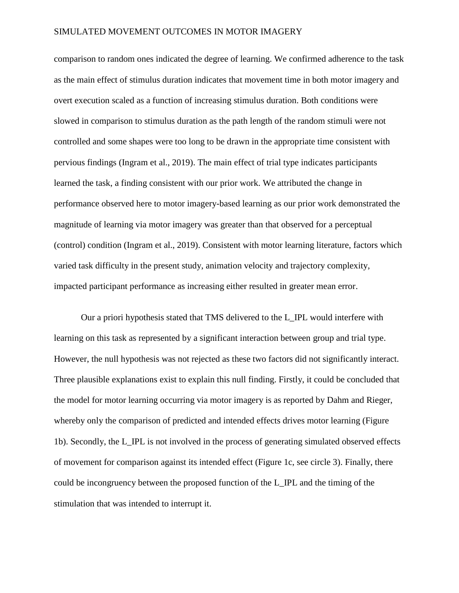comparison to random ones indicated the degree of learning. We confirmed adherence to the task as the main effect of stimulus duration indicates that movement time in both motor imagery and overt execution scaled as a function of increasing stimulus duration. Both conditions were slowed in comparison to stimulus duration as the path length of the random stimuli were not controlled and some shapes were too long to be drawn in the appropriate time consistent with pervious findings (Ingram et al., 2019). The main effect of trial type indicates participants learned the task, a finding consistent with our prior work. We attributed the change in performance observed here to motor imagery-based learning as our prior work demonstrated the magnitude of learning via motor imagery was greater than that observed for a perceptual (control) condition (Ingram et al., 2019). Consistent with motor learning literature, factors which varied task difficulty in the present study, animation velocity and trajectory complexity, impacted participant performance as increasing either resulted in greater mean error.

Our a priori hypothesis stated that TMS delivered to the L\_IPL would interfere with learning on this task as represented by a significant interaction between group and trial type. However, the null hypothesis was not rejected as these two factors did not significantly interact. Three plausible explanations exist to explain this null finding. Firstly, it could be concluded that the model for motor learning occurring via motor imagery is as reported by Dahm and Rieger, whereby only the comparison of predicted and intended effects drives motor learning (Figure 1b). Secondly, the L\_IPL is not involved in the process of generating simulated observed effects of movement for comparison against its intended effect (Figure 1c, see circle 3). Finally, there could be incongruency between the proposed function of the L\_IPL and the timing of the stimulation that was intended to interrupt it.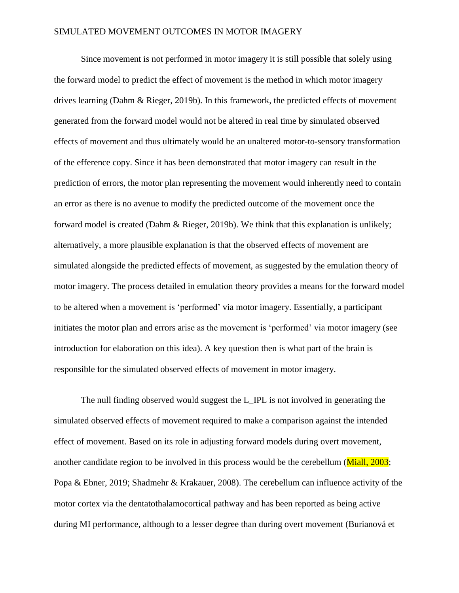Since movement is not performed in motor imagery it is still possible that solely using the forward model to predict the effect of movement is the method in which motor imagery drives learning (Dahm & Rieger, 2019b). In this framework, the predicted effects of movement generated from the forward model would not be altered in real time by simulated observed effects of movement and thus ultimately would be an unaltered motor-to-sensory transformation of the efference copy. Since it has been demonstrated that motor imagery can result in the prediction of errors, the motor plan representing the movement would inherently need to contain an error as there is no avenue to modify the predicted outcome of the movement once the forward model is created (Dahm & Rieger, 2019b). We think that this explanation is unlikely; alternatively, a more plausible explanation is that the observed effects of movement are simulated alongside the predicted effects of movement, as suggested by the emulation theory of motor imagery. The process detailed in emulation theory provides a means for the forward model to be altered when a movement is 'performed' via motor imagery. Essentially, a participant initiates the motor plan and errors arise as the movement is 'performed' via motor imagery (see introduction for elaboration on this idea). A key question then is what part of the brain is responsible for the simulated observed effects of movement in motor imagery.

The null finding observed would suggest the L IPL is not involved in generating the simulated observed effects of movement required to make a comparison against the intended effect of movement. Based on its role in adjusting forward models during overt movement, another candidate region to be involved in this process would be the cerebellum (Miall, 2003; Popa & Ebner, 2019; Shadmehr & Krakauer, 2008). The cerebellum can influence activity of the motor cortex via the dentatothalamocortical pathway and has been reported as being active during MI performance, although to a lesser degree than during overt movement (Burianová et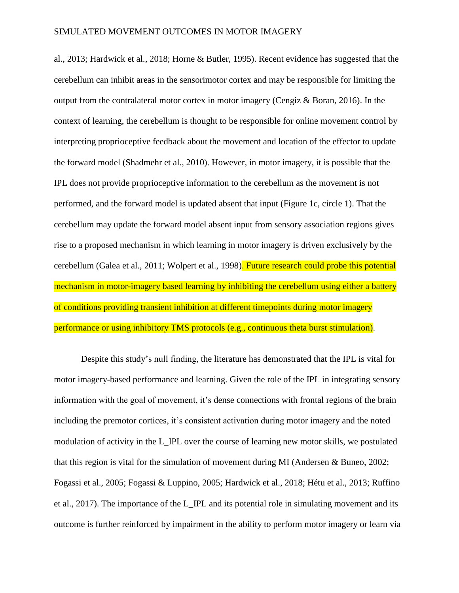al., 2013; Hardwick et al., 2018; Horne & Butler, 1995). Recent evidence has suggested that the cerebellum can inhibit areas in the sensorimotor cortex and may be responsible for limiting the output from the contralateral motor cortex in motor imagery (Cengiz & Boran, 2016). In the context of learning, the cerebellum is thought to be responsible for online movement control by interpreting proprioceptive feedback about the movement and location of the effector to update the forward model (Shadmehr et al., 2010). However, in motor imagery, it is possible that the IPL does not provide proprioceptive information to the cerebellum as the movement is not performed, and the forward model is updated absent that input (Figure 1c, circle 1). That the cerebellum may update the forward model absent input from sensory association regions gives rise to a proposed mechanism in which learning in motor imagery is driven exclusively by the cerebellum (Galea et al., 2011; Wolpert et al., 1998). Future research could probe this potential mechanism in motor-imagery based learning by inhibiting the cerebellum using either a battery of conditions providing transient inhibition at different timepoints during motor imagery performance or using inhibitory TMS protocols (e.g., continuous theta burst stimulation).

Despite this study's null finding, the literature has demonstrated that the IPL is vital for motor imagery-based performance and learning. Given the role of the IPL in integrating sensory information with the goal of movement, it's dense connections with frontal regions of the brain including the premotor cortices, it's consistent activation during motor imagery and the noted modulation of activity in the L\_IPL over the course of learning new motor skills, we postulated that this region is vital for the simulation of movement during MI (Andersen & Buneo, 2002; Fogassi et al., 2005; Fogassi & Luppino, 2005; Hardwick et al., 2018; Hétu et al., 2013; Ruffino et al., 2017). The importance of the L\_IPL and its potential role in simulating movement and its outcome is further reinforced by impairment in the ability to perform motor imagery or learn via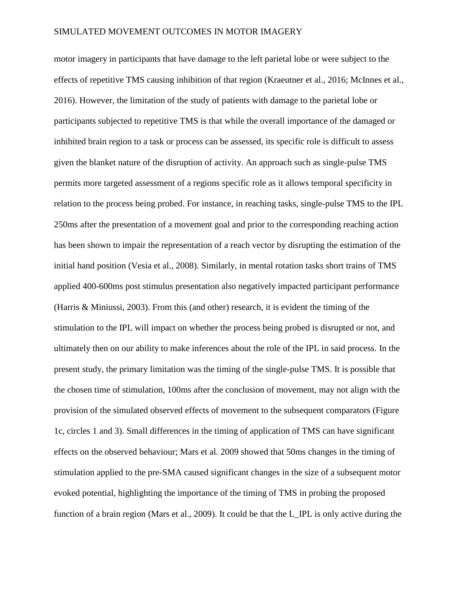motor imagery in participants that have damage to the left parietal lobe or were subject to the effects of repetitive TMS causing inhibition of that region (Kraeutner et al., 2016; McInnes et al., 2016). However, the limitation of the study of patients with damage to the parietal lobe or participants subjected to repetitive TMS is that while the overall importance of the damaged or inhibited brain region to a task or process can be assessed, its specific role is difficult to assess given the blanket nature of the disruption of activity. An approach such as single-pulse TMS permits more targeted assessment of a regions specific role as it allows temporal specificity in relation to the process being probed. For instance, in reaching tasks, single-pulse TMS to the IPL 250ms after the presentation of a movement goal and prior to the corresponding reaching action has been shown to impair the representation of a reach vector by disrupting the estimation of the initial hand position (Vesia et al., 2008). Similarly, in mental rotation tasks short trains of TMS applied 400-600ms post stimulus presentation also negatively impacted participant performance (Harris & Miniussi, 2003). From this (and other) research, it is evident the timing of the stimulation to the IPL will impact on whether the process being probed is disrupted or not, and ultimately then on our ability to make inferences about the role of the IPL in said process. In the present study, the primary limitation was the timing of the single-pulse TMS. It is possible that the chosen time of stimulation, 100ms after the conclusion of movement, may not align with the provision of the simulated observed effects of movement to the subsequent comparators (Figure 1c, circles 1 and 3). Small differences in the timing of application of TMS can have significant effects on the observed behaviour; Mars et al. 2009 showed that 50ms changes in the timing of stimulation applied to the pre-SMA caused significant changes in the size of a subsequent motor evoked potential, highlighting the importance of the timing of TMS in probing the proposed function of a brain region (Mars et al., 2009). It could be that the L\_IPL is only active during the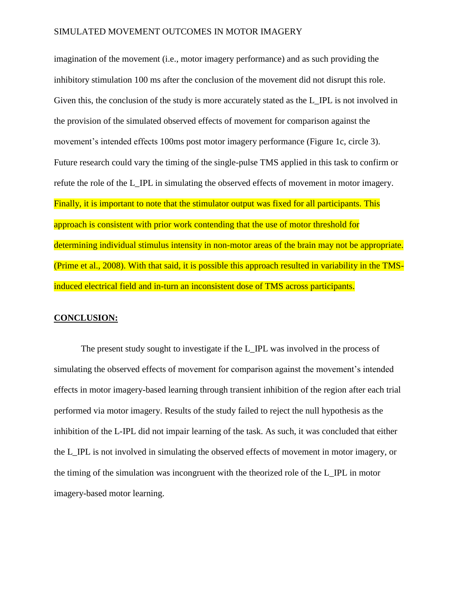imagination of the movement (i.e., motor imagery performance) and as such providing the inhibitory stimulation 100 ms after the conclusion of the movement did not disrupt this role. Given this, the conclusion of the study is more accurately stated as the L\_IPL is not involved in the provision of the simulated observed effects of movement for comparison against the movement's intended effects 100ms post motor imagery performance (Figure 1c, circle 3). Future research could vary the timing of the single-pulse TMS applied in this task to confirm or refute the role of the L\_IPL in simulating the observed effects of movement in motor imagery. Finally, it is important to note that the stimulator output was fixed for all participants. This approach is consistent with prior work contending that the use of motor threshold for determining individual stimulus intensity in non-motor areas of the brain may not be appropriate. (Prime et al., 2008). With that said, it is possible this approach resulted in variability in the TMSinduced electrical field and in-turn an inconsistent dose of TMS across participants.

#### **CONCLUSION:**

The present study sought to investigate if the L\_IPL was involved in the process of simulating the observed effects of movement for comparison against the movement's intended effects in motor imagery-based learning through transient inhibition of the region after each trial performed via motor imagery. Results of the study failed to reject the null hypothesis as the inhibition of the L-IPL did not impair learning of the task. As such, it was concluded that either the L\_IPL is not involved in simulating the observed effects of movement in motor imagery, or the timing of the simulation was incongruent with the theorized role of the L\_IPL in motor imagery-based motor learning.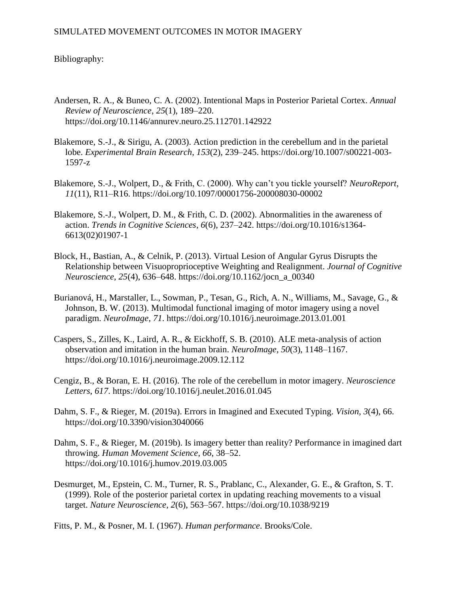# Bibliography:

- Andersen, R. A., & Buneo, C. A. (2002). Intentional Maps in Posterior Parietal Cortex. *Annual Review of Neuroscience*, *25*(1), 189–220. https://doi.org/10.1146/annurev.neuro.25.112701.142922
- Blakemore, S.-J., & Sirigu, A. (2003). Action prediction in the cerebellum and in the parietal lobe. *Experimental Brain Research*, *153*(2), 239–245. https://doi.org/10.1007/s00221-003- 1597-z
- Blakemore, S.-J., Wolpert, D., & Frith, C. (2000). Why can't you tickle yourself? *NeuroReport*, *11*(11), R11–R16. https://doi.org/10.1097/00001756-200008030-00002
- Blakemore, S.-J., Wolpert, D. M., & Frith, C. D. (2002). Abnormalities in the awareness of action. *Trends in Cognitive Sciences*, *6*(6), 237–242. https://doi.org/10.1016/s1364- 6613(02)01907-1
- Block, H., Bastian, A., & Celnik, P. (2013). Virtual Lesion of Angular Gyrus Disrupts the Relationship between Visuoproprioceptive Weighting and Realignment. *Journal of Cognitive Neuroscience*, *25*(4), 636–648. https://doi.org/10.1162/jocn\_a\_00340
- Burianová, H., Marstaller, L., Sowman, P., Tesan, G., Rich, A. N., Williams, M., Savage, G., & Johnson, B. W. (2013). Multimodal functional imaging of motor imagery using a novel paradigm. *NeuroImage*, *71*. https://doi.org/10.1016/j.neuroimage.2013.01.001
- Caspers, S., Zilles, K., Laird, A. R., & Eickhoff, S. B. (2010). ALE meta-analysis of action observation and imitation in the human brain. *NeuroImage*, *50*(3), 1148–1167. https://doi.org/10.1016/j.neuroimage.2009.12.112
- Cengiz, B., & Boran, E. H. (2016). The role of the cerebellum in motor imagery. *Neuroscience Letters*, *617*. https://doi.org/10.1016/j.neulet.2016.01.045
- Dahm, S. F., & Rieger, M. (2019a). Errors in Imagined and Executed Typing. *Vision*, *3*(4), 66. https://doi.org/10.3390/vision3040066
- Dahm, S. F., & Rieger, M. (2019b). Is imagery better than reality? Performance in imagined dart throwing. *Human Movement Science*, *66*, 38–52. https://doi.org/10.1016/j.humov.2019.03.005
- Desmurget, M., Epstein, C. M., Turner, R. S., Prablanc, C., Alexander, G. E., & Grafton, S. T. (1999). Role of the posterior parietal cortex in updating reaching movements to a visual target. *Nature Neuroscience*, *2*(6), 563–567. https://doi.org/10.1038/9219

Fitts, P. M., & Posner, M. I. (1967). *Human performance*. Brooks/Cole.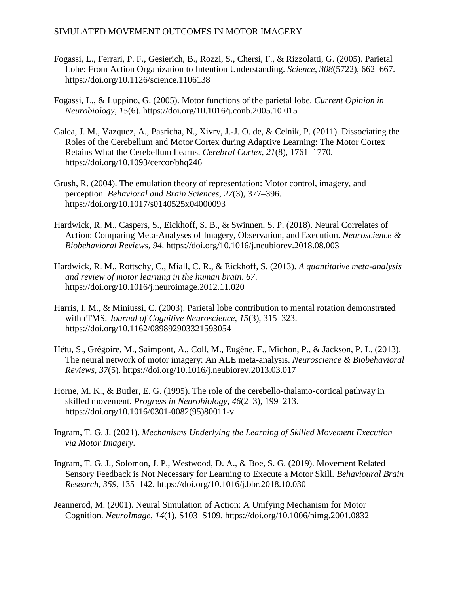- Fogassi, L., Ferrari, P. F., Gesierich, B., Rozzi, S., Chersi, F., & Rizzolatti, G. (2005). Parietal Lobe: From Action Organization to Intention Understanding. *Science*, *308*(5722), 662–667. https://doi.org/10.1126/science.1106138
- Fogassi, L., & Luppino, G. (2005). Motor functions of the parietal lobe. *Current Opinion in Neurobiology*, *15*(6). https://doi.org/10.1016/j.conb.2005.10.015
- Galea, J. M., Vazquez, A., Pasricha, N., Xivry, J.-J. O. de, & Celnik, P. (2011). Dissociating the Roles of the Cerebellum and Motor Cortex during Adaptive Learning: The Motor Cortex Retains What the Cerebellum Learns. *Cerebral Cortex*, *21*(8), 1761–1770. https://doi.org/10.1093/cercor/bhq246
- Grush, R. (2004). The emulation theory of representation: Motor control, imagery, and perception. *Behavioral and Brain Sciences*, *27*(3), 377–396. https://doi.org/10.1017/s0140525x04000093
- Hardwick, R. M., Caspers, S., Eickhoff, S. B., & Swinnen, S. P. (2018). Neural Correlates of Action: Comparing Meta-Analyses of Imagery, Observation, and Execution. *Neuroscience & Biobehavioral Reviews*, *94*. https://doi.org/10.1016/j.neubiorev.2018.08.003
- Hardwick, R. M., Rottschy, C., Miall, C. R., & Eickhoff, S. (2013). *A quantitative meta-analysis and review of motor learning in the human brain*. *67*. https://doi.org/10.1016/j.neuroimage.2012.11.020
- Harris, I. M., & Miniussi, C. (2003). Parietal lobe contribution to mental rotation demonstrated with rTMS. *Journal of Cognitive Neuroscience*, *15*(3), 315–323. https://doi.org/10.1162/089892903321593054
- Hétu, S., Grégoire, M., Saimpont, A., Coll, M., Eugène, F., Michon, P., & Jackson, P. L. (2013). The neural network of motor imagery: An ALE meta-analysis. *Neuroscience & Biobehavioral Reviews*, *37*(5). https://doi.org/10.1016/j.neubiorev.2013.03.017
- Horne, M. K., & Butler, E. G. (1995). The role of the cerebello-thalamo-cortical pathway in skilled movement. *Progress in Neurobiology*, *46*(2–3), 199–213. https://doi.org/10.1016/0301-0082(95)80011-v
- Ingram, T. G. J. (2021). *Mechanisms Underlying the Learning of Skilled Movement Execution via Motor Imagery*.
- Ingram, T. G. J., Solomon, J. P., Westwood, D. A., & Boe, S. G. (2019). Movement Related Sensory Feedback is Not Necessary for Learning to Execute a Motor Skill. *Behavioural Brain Research*, *359*, 135–142. https://doi.org/10.1016/j.bbr.2018.10.030
- Jeannerod, M. (2001). Neural Simulation of Action: A Unifying Mechanism for Motor Cognition. *NeuroImage*, *14*(1), S103–S109. https://doi.org/10.1006/nimg.2001.0832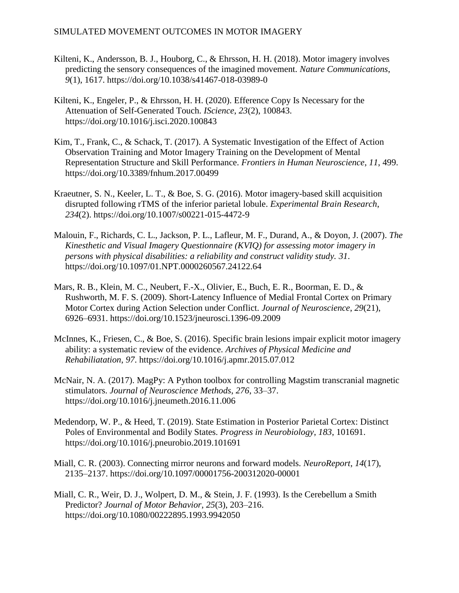- Kilteni, K., Andersson, B. J., Houborg, C., & Ehrsson, H. H. (2018). Motor imagery involves predicting the sensory consequences of the imagined movement. *Nature Communications*, *9*(1), 1617. https://doi.org/10.1038/s41467-018-03989-0
- Kilteni, K., Engeler, P., & Ehrsson, H. H. (2020). Efference Copy Is Necessary for the Attenuation of Self-Generated Touch. *IScience*, *23*(2), 100843. https://doi.org/10.1016/j.isci.2020.100843
- Kim, T., Frank, C., & Schack, T. (2017). A Systematic Investigation of the Effect of Action Observation Training and Motor Imagery Training on the Development of Mental Representation Structure and Skill Performance. *Frontiers in Human Neuroscience*, *11*, 499. https://doi.org/10.3389/fnhum.2017.00499
- Kraeutner, S. N., Keeler, L. T., & Boe, S. G. (2016). Motor imagery-based skill acquisition disrupted following rTMS of the inferior parietal lobule. *Experimental Brain Research*, *234*(2). https://doi.org/10.1007/s00221-015-4472-9
- Malouin, F., Richards, C. L., Jackson, P. L., Lafleur, M. F., Durand, A., & Doyon, J. (2007). *The Kinesthetic and Visual Imagery Questionnaire (KVIQ) for assessing motor imagery in persons with physical disabilities: a reliability and construct validity study. 31*. https://doi.org/10.1097/01.NPT.0000260567.24122.64
- Mars, R. B., Klein, M. C., Neubert, F.-X., Olivier, E., Buch, E. R., Boorman, E. D., & Rushworth, M. F. S. (2009). Short-Latency Influence of Medial Frontal Cortex on Primary Motor Cortex during Action Selection under Conflict. *Journal of Neuroscience*, *29*(21), 6926–6931. https://doi.org/10.1523/jneurosci.1396-09.2009
- McInnes, K., Friesen, C., & Boe, S. (2016). Specific brain lesions impair explicit motor imagery ability: a systematic review of the evidence. *Archives of Physical Medicine and Rehabiliatation*, *97*. https://doi.org/10.1016/j.apmr.2015.07.012
- McNair, N. A. (2017). MagPy: A Python toolbox for controlling Magstim transcranial magnetic stimulators. *Journal of Neuroscience Methods*, *276*, 33–37. https://doi.org/10.1016/j.jneumeth.2016.11.006
- Medendorp, W. P., & Heed, T. (2019). State Estimation in Posterior Parietal Cortex: Distinct Poles of Environmental and Bodily States. *Progress in Neurobiology*, *183*, 101691. https://doi.org/10.1016/j.pneurobio.2019.101691
- Miall, C. R. (2003). Connecting mirror neurons and forward models. *NeuroReport*, *14*(17), 2135–2137. https://doi.org/10.1097/00001756-200312020-00001
- Miall, C. R., Weir, D. J., Wolpert, D. M., & Stein, J. F. (1993). Is the Cerebellum a Smith Predictor? *Journal of Motor Behavior*, *25*(3), 203–216. https://doi.org/10.1080/00222895.1993.9942050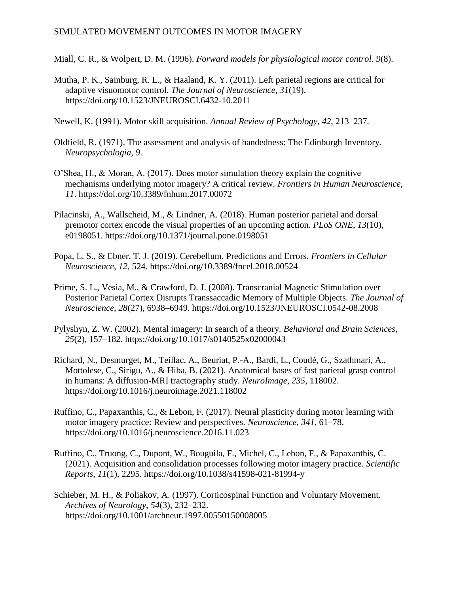- Miall, C. R., & Wolpert, D. M. (1996). *Forward models for physiological motor control*. *9*(8).
- Mutha, P. K., Sainburg, R. L., & Haaland, K. Y. (2011). Left parietal regions are critical for adaptive visuomotor control. *The Journal of Neuroscience*, *31*(19). https://doi.org/10.1523/JNEUROSCI.6432-10.2011
- Newell, K. (1991). Motor skill acquisition. *Annual Review of Psychology*, *42*, 213–237.
- Oldfield, R. (1971). The assessment and analysis of handedness: The Edinburgh Inventory. *Neuropsychologia*, *9*.
- O'Shea, H., & Moran, A. (2017). Does motor simulation theory explain the cognitive mechanisms underlying motor imagery? A critical review. *Frontiers in Human Neuroscience*, *11*. https://doi.org/10.3389/fnhum.2017.00072
- Pilacinski, A., Wallscheid, M., & Lindner, A. (2018). Human posterior parietal and dorsal premotor cortex encode the visual properties of an upcoming action. *PLoS ONE*, *13*(10), e0198051. https://doi.org/10.1371/journal.pone.0198051
- Popa, L. S., & Ebner, T. J. (2019). Cerebellum, Predictions and Errors. *Frontiers in Cellular Neuroscience*, *12*, 524. https://doi.org/10.3389/fncel.2018.00524
- Prime, S. L., Vesia, M., & Crawford, D. J. (2008). Transcranial Magnetic Stimulation over Posterior Parietal Cortex Disrupts Transsaccadic Memory of Multiple Objects. *The Journal of Neuroscience*, *28*(27), 6938–6949. https://doi.org/10.1523/JNEUROSCI.0542-08.2008
- Pylyshyn, Z. W. (2002). Mental imagery: In search of a theory. *Behavioral and Brain Sciences*, *25*(2), 157–182. https://doi.org/10.1017/s0140525x02000043
- Richard, N., Desmurget, M., Teillac, A., Beuriat, P.-A., Bardi, L., Coudé, G., Szathmari, A., Mottolese, C., Sirigu, A., & Hiba, B. (2021). Anatomical bases of fast parietal grasp control in humans: A diffusion-MRI tractography study. *NeuroImage*, *235*, 118002. https://doi.org/10.1016/j.neuroimage.2021.118002
- Ruffino, C., Papaxanthis, C., & Lebon, F. (2017). Neural plasticity during motor learning with motor imagery practice: Review and perspectives. *Neuroscience*, *341*, 61–78. https://doi.org/10.1016/j.neuroscience.2016.11.023
- Ruffino, C., Truong, C., Dupont, W., Bouguila, F., Michel, C., Lebon, F., & Papaxanthis, C. (2021). Acquisition and consolidation processes following motor imagery practice. *Scientific Reports*, *11*(1), 2295. https://doi.org/10.1038/s41598-021-81994-y
- Schieber, M. H., & Poliakov, A. (1997). Corticospinal Function and Voluntary Movement. *Archives of Neurology*, *54*(3), 232–232. https://doi.org/10.1001/archneur.1997.00550150008005